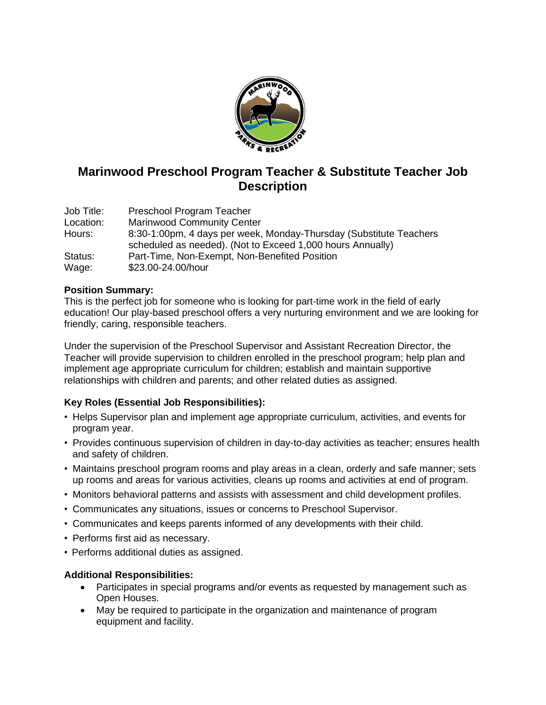

# **Marinwood Preschool Program Teacher & Substitute Teacher Job Description**

Job Title: Preschool Program Teacher Location: Marinwood Community Center Hours: 8:30-1:00pm, 4 days per week, Monday-Thursday (Substitute Teachers scheduled as needed). (Not to Exceed 1,000 hours Annually) Status: Part-Time, Non-Exempt, Non-Benefited Position Wage: \$23.00-24.00/hour

#### **Position Summary:**

This is the perfect job for someone who is looking for part-time work in the field of early education! Our play-based preschool offers a very nurturing environment and we are looking for friendly, caring, responsible teachers.

Under the supervision of the Preschool Supervisor and Assistant Recreation Director, the Teacher will provide supervision to children enrolled in the preschool program; help plan and implement age appropriate curriculum for children; establish and maintain supportive relationships with children and parents; and other related duties as assigned.

### **Key Roles (Essential Job Responsibilities):**

- Helps Supervisor plan and implement age appropriate curriculum, activities, and events for program year.
- Provides continuous supervision of children in day-to-day activities as teacher; ensures health and safety of children.
- Maintains preschool program rooms and play areas in a clean, orderly and safe manner; sets up rooms and areas for various activities, cleans up rooms and activities at end of program.
- Monitors behavioral patterns and assists with assessment and child development profiles.
- Communicates any situations, issues or concerns to Preschool Supervisor.
- Communicates and keeps parents informed of any developments with their child.
- Performs first aid as necessary.
- Performs additional duties as assigned.

#### **Additional Responsibilities:**

- Participates in special programs and/or events as requested by management such as Open Houses.
- May be required to participate in the organization and maintenance of program equipment and facility.